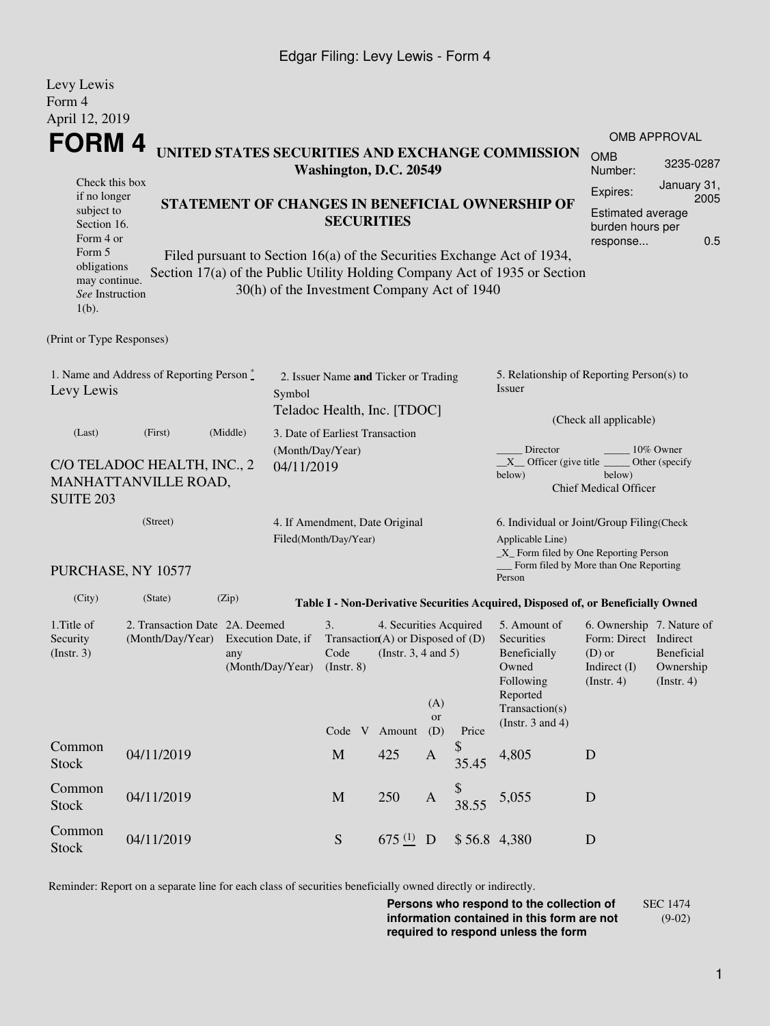## Edgar Filing: Levy Lewis - Form 4

Levy Lewis

| Form 4<br>April 12, 2019                                                             |                                                                                                                                                                                                           |          |                                                                      |                                                                     |                                                                                                                                                 |                  |                                                                                                                                                                      |                                                                                  |                                                                     |                     |  |
|--------------------------------------------------------------------------------------|-----------------------------------------------------------------------------------------------------------------------------------------------------------------------------------------------------------|----------|----------------------------------------------------------------------|---------------------------------------------------------------------|-------------------------------------------------------------------------------------------------------------------------------------------------|------------------|----------------------------------------------------------------------------------------------------------------------------------------------------------------------|----------------------------------------------------------------------------------|---------------------------------------------------------------------|---------------------|--|
|                                                                                      |                                                                                                                                                                                                           |          |                                                                      |                                                                     |                                                                                                                                                 |                  |                                                                                                                                                                      |                                                                                  |                                                                     | <b>OMB APPROVAL</b> |  |
| FORM 4<br>UNITED STATES SECURITIES AND EXCHANGE COMMISSION<br>Washington, D.C. 20549 |                                                                                                                                                                                                           |          |                                                                      |                                                                     |                                                                                                                                                 |                  |                                                                                                                                                                      |                                                                                  | <b>OMB</b><br>Number:                                               | 3235-0287           |  |
| Check this box                                                                       |                                                                                                                                                                                                           |          |                                                                      |                                                                     |                                                                                                                                                 | Expires:         | January 31,                                                                                                                                                          |                                                                                  |                                                                     |                     |  |
| Form 5                                                                               | if no longer<br>STATEMENT OF CHANGES IN BENEFICIAL OWNERSHIP OF<br>subject to<br><b>SECURITIES</b><br>Section 16.<br>Form 4 or<br>Filed pursuant to Section 16(a) of the Securities Exchange Act of 1934, |          |                                                                      |                                                                     |                                                                                                                                                 |                  |                                                                                                                                                                      | response                                                                         | 2005<br>Estimated average<br>burden hours per<br>0.5                |                     |  |
| obligations<br>may continue.<br>See Instruction<br>$1(b)$ .                          |                                                                                                                                                                                                           |          |                                                                      | 30(h) of the Investment Company Act of 1940                         |                                                                                                                                                 |                  |                                                                                                                                                                      | Section 17(a) of the Public Utility Holding Company Act of 1935 or Section       |                                                                     |                     |  |
| (Print or Type Responses)                                                            |                                                                                                                                                                                                           |          |                                                                      |                                                                     |                                                                                                                                                 |                  |                                                                                                                                                                      |                                                                                  |                                                                     |                     |  |
| 1. Name and Address of Reporting Person *<br>Levy Lewis<br>Symbol                    |                                                                                                                                                                                                           |          |                                                                      | 2. Issuer Name and Ticker or Trading<br>Teladoc Health, Inc. [TDOC] |                                                                                                                                                 |                  |                                                                                                                                                                      | 5. Relationship of Reporting Person(s) to<br>Issuer                              |                                                                     |                     |  |
| (Last)                                                                               | (First)                                                                                                                                                                                                   | (Middle) |                                                                      | 3. Date of Earliest Transaction                                     | (Check all applicable)                                                                                                                          |                  |                                                                                                                                                                      |                                                                                  |                                                                     |                     |  |
| C/O TELADOC HEALTH, INC., 2<br>MANHATTANVILLE ROAD,<br><b>SUITE 203</b>              | (Month/Day/Year)<br>04/11/2019                                                                                                                                                                            |          |                                                                      |                                                                     | Director<br>10% Owner<br>$X$ Officer (give title $\overline{\phantom{a}}$<br>Other (specify<br>below)<br>below)<br><b>Chief Medical Officer</b> |                  |                                                                                                                                                                      |                                                                                  |                                                                     |                     |  |
| (Street)                                                                             |                                                                                                                                                                                                           |          |                                                                      | 4. If Amendment, Date Original                                      |                                                                                                                                                 |                  |                                                                                                                                                                      | 6. Individual or Joint/Group Filing(Check                                        |                                                                     |                     |  |
| PURCHASE, NY 10577                                                                   | Filed(Month/Day/Year)                                                                                                                                                                                     |          |                                                                      |                                                                     | Applicable Line)<br>_X_ Form filed by One Reporting Person<br>Form filed by More than One Reporting<br>Person                                   |                  |                                                                                                                                                                      |                                                                                  |                                                                     |                     |  |
| (City)                                                                               | (State)                                                                                                                                                                                                   | (Zip)    |                                                                      |                                                                     |                                                                                                                                                 |                  |                                                                                                                                                                      | Table I - Non-Derivative Securities Acquired, Disposed of, or Beneficially Owned |                                                                     |                     |  |
| 1. Title of<br>Security<br>(Insert. 3)                                               | 2. Transaction Date 2A. Deemed<br>(Month/Day/Year)<br>Execution Date, if<br>any<br>(Month/Day/Year)                                                                                                       |          | 3.<br>Transaction(A) or Disposed of $(D)$<br>Code<br>$($ Instr. $8)$ | 4. Securities Acquired<br>(Instr. $3, 4$ and $5$ )                  | (A)                                                                                                                                             |                  | 5. Amount of<br>Form: Direct Indirect<br>Securities<br>Beneficially<br>$(D)$ or<br>Owned<br>Indirect $(I)$<br>Following<br>(Insert. 4)<br>Reported<br>Transaction(s) |                                                                                  | 6. Ownership 7. Nature of<br>Beneficial<br>Ownership<br>(Insert. 4) |                     |  |
|                                                                                      |                                                                                                                                                                                                           |          |                                                                      | Code V Amount                                                       |                                                                                                                                                 | <b>or</b><br>(D) | Price                                                                                                                                                                | (Instr. $3$ and $4$ )                                                            |                                                                     |                     |  |
| Common<br><b>Stock</b>                                                               | 04/11/2019                                                                                                                                                                                                |          |                                                                      | $\mathbf{M}$                                                        | 425                                                                                                                                             | $\mathbf{A}$     | \$<br>35.45                                                                                                                                                          | 4,805                                                                            | D                                                                   |                     |  |
| Common<br><b>Stock</b>                                                               | 04/11/2019                                                                                                                                                                                                |          |                                                                      | $\mathbf M$                                                         | 250                                                                                                                                             | $\mathbf{A}$     | 38.55                                                                                                                                                                | 5,055                                                                            | D                                                                   |                     |  |
| Common<br><b>Stock</b>                                                               | 04/11/2019                                                                                                                                                                                                |          |                                                                      | ${\mathbf S}$                                                       | $675(1)$ D                                                                                                                                      |                  | \$56.8 4,380                                                                                                                                                         |                                                                                  | $\mathbf D$                                                         |                     |  |

Reminder: Report on a separate line for each class of securities beneficially owned directly or indirectly.

**Persons who respond to the collection of information contained in this form are not required to respond unless the form** SEC 1474 (9-02)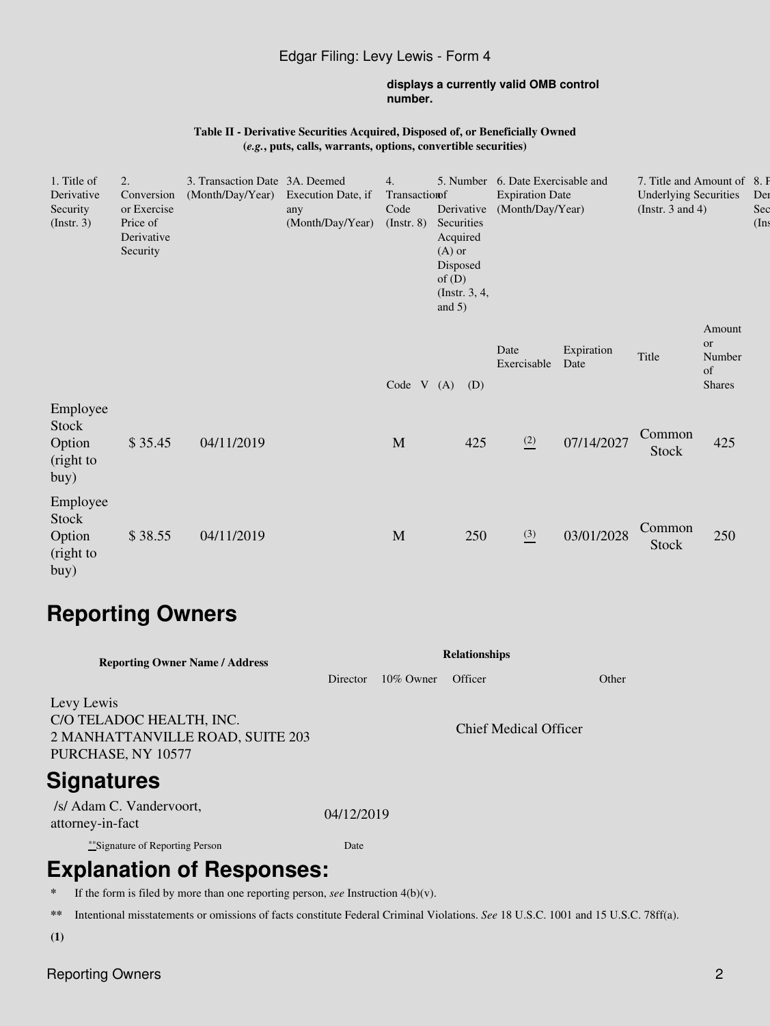# Edgar Filing: Levy Lewis - Form 4

#### **displays a currently valid OMB control number.**

#### **Table II - Derivative Securities Acquired, Disposed of, or Beneficially Owned (***e.g.***, puts, calls, warrants, options, convertible securities)**

| 1. Title of<br>Derivative<br>Security<br>$($ Instr. 3 $)$ | 2.<br>3. Transaction Date 3A. Deemed<br>(Month/Day/Year)<br>Conversion<br>or Exercise<br>any<br>Price of<br>Derivative<br>Security |            | Execution Date, if<br>(Month/Day/Year) | 4.<br>Transaction<br>Code<br>(Insert. 8) | Derivative<br>Securities<br>Acquired<br>$(A)$ or<br>Disposed<br>of $(D)$<br>(Instr. $3, 4,$<br>and $5)$ |     | 5. Number 6. Date Exercisable and<br><b>Expiration Date</b><br>(Month/Day/Year) |                    | 7. Title and Amount of 8. P<br><b>Underlying Securities</b><br>(Instr. 3 and 4) |                                               | Der<br>Sec<br>(Ins) |
|-----------------------------------------------------------|------------------------------------------------------------------------------------------------------------------------------------|------------|----------------------------------------|------------------------------------------|---------------------------------------------------------------------------------------------------------|-----|---------------------------------------------------------------------------------|--------------------|---------------------------------------------------------------------------------|-----------------------------------------------|---------------------|
|                                                           |                                                                                                                                    |            |                                        | Code V                                   | (A)                                                                                                     | (D) | Date<br>Exercisable                                                             | Expiration<br>Date | Title                                                                           | Amount<br>or<br>Number<br>of<br><b>Shares</b> |                     |
| Employee<br><b>Stock</b><br>Option<br>(right to<br>buy)   | \$35.45                                                                                                                            | 04/11/2019 |                                        | M                                        |                                                                                                         | 425 | $\frac{(2)}{2}$                                                                 | 07/14/2027         | Common<br><b>Stock</b>                                                          | 425                                           |                     |
| Employee<br>Stock<br>Option<br>(right to<br>buy)          | \$38.55                                                                                                                            | 04/11/2019 |                                        | $\mathbf M$                              |                                                                                                         | 250 | $\frac{(3)}{2}$                                                                 | 03/01/2028         | Common<br>Stock                                                                 | 250                                           |                     |

# **Reporting Owners**

| <b>Reporting Owner Name / Address</b>                                                            | <b>Relationships</b> |              |                       |       |  |  |  |  |  |
|--------------------------------------------------------------------------------------------------|----------------------|--------------|-----------------------|-------|--|--|--|--|--|
|                                                                                                  | Director             | $10\%$ Owner | Officer               | Other |  |  |  |  |  |
| Levy Lewis<br>C/O TELADOC HEALTH, INC.<br>2 MANHATTANVILLE ROAD, SUITE 203<br>PURCHASE, NY 10577 |                      |              | Chief Medical Officer |       |  |  |  |  |  |
| <b>Signatures</b>                                                                                |                      |              |                       |       |  |  |  |  |  |
| /s/ Adam C. Vandervoort,<br>attorney-in-fact                                                     | 04/12/2019           |              |                       |       |  |  |  |  |  |
| **Signature of Reporting Person                                                                  | Date                 |              |                       |       |  |  |  |  |  |
| <b>Explanation of Responses:</b>                                                                 |                      |              |                       |       |  |  |  |  |  |

**\*** If the form is filed by more than one reporting person, *see* Instruction 4(b)(v).

**\*\*** Intentional misstatements or omissions of facts constitute Federal Criminal Violations. *See* 18 U.S.C. 1001 and 15 U.S.C. 78ff(a).

**(1)**